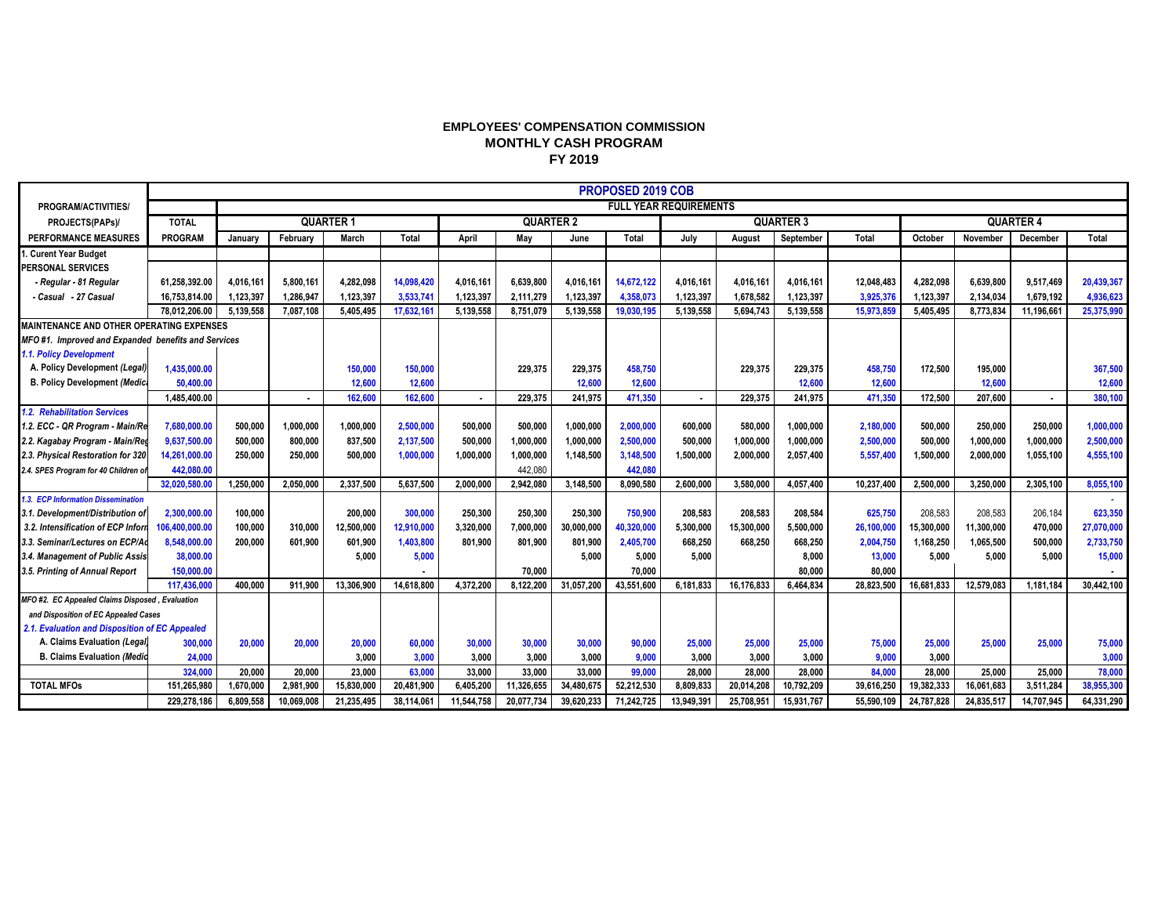## **EMPLOYEES' COMPENSATION COMMISSION MONTHLY CASH PROGRAM FY 2019**

|                                                    |                | PROPOSED 2019 COB |            |            |                  |            |            |            |                               |            |            |            |                  |            |            |            |            |
|----------------------------------------------------|----------------|-------------------|------------|------------|------------------|------------|------------|------------|-------------------------------|------------|------------|------------|------------------|------------|------------|------------|------------|
| PROGRAM/ACTIVITIES/                                |                |                   |            |            |                  |            |            |            | <b>FULL YEAR REQUIREMENTS</b> |            |            |            |                  |            |            |            |            |
| PROJECTS(PAPs)/                                    | <b>TOTAL</b>   | <b>QUARTER 1</b>  |            |            | <b>QUARTER 2</b> |            |            |            | <b>QUARTER 3</b>              |            |            |            | <b>QUARTER 4</b> |            |            |            |            |
| <b>PERFORMANCE MEASURES</b>                        | <b>PROGRAM</b> | Januarv           | February   | March      | Total            | April      | Mav        | June       | Total                         | July       | August     | September  | Total            | October    | November   | December   | Total      |
| . Curent Year Budget                               |                |                   |            |            |                  |            |            |            |                               |            |            |            |                  |            |            |            |            |
| <b>PERSONAL SERVICES</b>                           |                |                   |            |            |                  |            |            |            |                               |            |            |            |                  |            |            |            |            |
| - Regular - 81 Regular                             | 61.258.392.00  | 4.016.161         | 5.800.161  | 4.282.098  | 14,098,420       | 4,016,161  | 6,639,800  | 4.016.161  | 14.672.122                    | 4.016.161  | 4.016.161  | 4.016.161  | 12.048.483       | 4.282.098  | 6.639.800  | 9.517.469  | 20,439,367 |
| - Casual - 27 Casual                               | 16.753.814.00  | 1,123,397         | 1.286.947  | 1.123.397  | 3,533,741        | 1.123.397  | 2.111.279  | 1,123,397  | 4,358,073                     | 1,123,397  | 1.678.582  | 1.123.397  | 3,925,376        | 1,123,397  | 2,134,034  | 1.679.192  | 4,936,623  |
|                                                    | 78,012,206.00  | 5,139,558         | 7,087,108  | 5,405,495  | 17,632,161       | 5,139,558  | 8,751,079  | 5,139,558  | 19,030,195                    | 5,139,558  | 5,694,743  | 5,139,558  | 15,973,859       | 5,405,495  | 8,773,834  | 11,196,661 | 25,375,990 |
| <b>MAINTENANCE AND OTHER OPERATING EXPENSES</b>    |                |                   |            |            |                  |            |            |            |                               |            |            |            |                  |            |            |            |            |
| MFO#1. Improved and Expanded benefits and Services |                |                   |            |            |                  |            |            |            |                               |            |            |            |                  |            |            |            |            |
| 1.1. Policy Development                            |                |                   |            |            |                  |            |            |            |                               |            |            |            |                  |            |            |            |            |
| A. Policy Development (Legal)                      | 1,435,000.00   |                   |            | 150,000    | 150,000          |            | 229,375    | 229,375    | 458,750                       |            | 229,375    | 229,375    | 458,750          | 172,500    | 195,000    |            | 367,500    |
| <b>B. Policy Development (Medica</b>               | 50,400.00      |                   |            | 12,600     | 12,600           |            |            | 12,600     | 12,600                        |            |            | 12,600     | 12,600           |            | 12,600     |            | 12,600     |
|                                                    | 1,485,400.00   |                   | ٠          | 162.600    | 162,600          |            | 229.375    | 241,975    | 471,350                       | ۰.         | 229.375    | 241.975    | 471,350          | 172,500    | 207,600    |            | 380,100    |
| 1.2. Rehabilitation Services                       |                |                   |            |            |                  |            |            |            |                               |            |            |            |                  |            |            |            |            |
| 1.2. ECC - QR Program - Main/Re                    | 7.680.000.00   | 500.000           | 1.000.000  | 1.000.000  | 2.500.000        | 500.000    | 500.000    | 1.000.000  | 2.000.000                     | 600.000    | 580,000    | 1,000,000  | 2.180.000        | 500.000    | 250,000    | 250.000    | 1,000,000  |
| 2.2. Kagabay Program - Main/Reg                    | 9,637,500.00   | 500,000           | 800,000    | 837,500    | 2,137,500        | 500,000    | 1,000,000  | 1,000,000  | 2,500,000                     | 500,000    | 1,000,000  | 1,000,000  | 2,500,000        | 500,000    | 1,000,000  | 1,000,000  | 2,500,000  |
| 2.3. Physical Restoration for 320                  | 14,261,000.00  | 250,000           | 250,000    | 500.000    | 1,000,000        | 1,000,000  | 1,000,000  | 1,148,500  | 3,148,500                     | 1,500,000  | 2,000,000  | 2,057,400  | 5,557,400        | 1,500,000  | 2,000,000  | 1,055,100  | 4,555,100  |
| 2.4. SPES Program for 40 Children of               | 442,080.00     |                   |            |            |                  |            | 442,080    |            | 442,080                       |            |            |            |                  |            |            |            |            |
|                                                    | 32,020,580.00  | 1.250.000         | 2.050.000  | 2.337.500  | 5.637.500        | 2.000.000  | 2,942,080  | 3,148,500  | 8,090,580                     | 2.600.000  | 3.580.000  | 4.057.400  | 10,237,400       | 2,500,000  | 3.250.000  | 2.305.100  | 8,055,100  |
| 1.3. ECP Information Dissemination                 |                |                   |            |            |                  |            |            |            |                               |            |            |            |                  |            |            |            |            |
| 3.1. Development/Distribution of                   | 2,300,000.00   | 100,000           |            | 200,000    | 300,000          | 250,300    | 250,300    | 250,300    | 750,900                       | 208,583    | 208,583    | 208,584    | 625,750          | 208,583    | 208,583    | 206,184    | 623,350    |
| 3.2. Intensification of ECP Inform                 | 106,400,000.00 | 100,000           | 310.000    | 12,500,000 | 12.910.000       | 3,320,000  | 7,000,000  | 30,000,000 | 40,320,000                    | 5,300,000  | 15,300,000 | 5,500,000  | 26,100,000       | 15,300,000 | 11,300,000 | 470,000    | 27,070,000 |
| 3.3. Seminar/Lectures on ECP/Ad                    | 8,548,000.00   | 200.000           | 601.900    | 601,900    | 1,403,800        | 801.900    | 801.900    | 801,900    | 2,405,700                     | 668,250    | 668.250    | 668,250    | 2,004,750        | 1,168,250  | 1,065,500  | 500,000    | 2,733,750  |
| 3.4. Management of Public Assis                    | 38,000.00      |                   |            | 5.000      | 5,000            |            |            | 5.000      | 5,000                         | 5.000      |            | 8.000      | 13,000           | 5.000      | 5.000      | 5.000      | 15,000     |
| 3.5. Printing of Annual Report                     | 150,000.00     |                   |            |            |                  |            | 70.000     |            | 70.000                        |            |            | 80.000     | 80.000           |            |            |            |            |
|                                                    | 117,436,000    | 400.000           | 911.900    | 13,306,900 | 14.618.800       | 4.372.200  | 8,122,200  | 31.057.200 | 43,551,600                    | 6.181.833  | 16.176.833 | 6.464.834  | 28,823,500       | 16.681.833 | 12.579.083 | 1.181.184  | 30.442.100 |
| MFO #2. EC Appealed Claims Disposed, Evaluation    |                |                   |            |            |                  |            |            |            |                               |            |            |            |                  |            |            |            |            |
| and Disposition of EC Appealed Cases               |                |                   |            |            |                  |            |            |            |                               |            |            |            |                  |            |            |            |            |
| 2.1. Evaluation and Disposition of EC Appealed     |                |                   |            |            |                  |            |            |            |                               |            |            |            |                  |            |            |            |            |
| A. Claims Evaluation (Legal)                       | 300,000        | 20,000            | 20,000     | 20,000     | 60,000           | 30,000     | 30,000     | 30,000     | 90,000                        | 25,000     | 25,000     | 25,000     | 75,000           | 25,000     | 25,000     | 25,000     | 75,000     |
| <b>B. Claims Evaluation (Medic</b>                 | 24,000         |                   |            | 3.000      | 3.000            | 3.000      | 3,000      | 3,000      | 9,000                         | 3,000      | 3,000      | 3,000      | 9,000            | 3,000      |            |            | 3,000      |
|                                                    | 324,000        | 20.000            | 20.000     | 23,000     | 63,000           | 33,000     | 33,000     | 33,000     | 99,000                        | 28,000     | 28,000     | 28,000     | 84,000           | 28,000     | 25,000     | 25,000     | 78,000     |
| <b>TOTAL MFOs</b>                                  | 151.265.980    | 1.670.000         | 2.981.900  | 15,830,000 | 20.481.900       | 6.405.200  | 11,326,655 | 34.480.675 | 52.212.530                    | 8.809.833  | 20.014.208 | 10.792.209 | 39.616.250       | 19.382.333 | 16.061.683 | 3,511,284  | 38,955,300 |
|                                                    | 229.278.186    | 6.809.558         | 10.069.008 | 21.235.495 | 38,114,061       | 11,544,758 | 20.077.734 | 39,620,233 | 71.242.725                    | 13.949.391 | 25.708.951 | 15,931,767 | 55.590.109       | 24.787.828 | 24.835.51  | 14,707,945 | 64,331,290 |